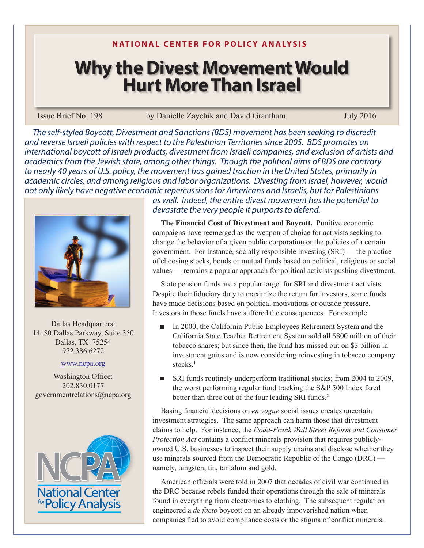**N ATIONAL CENTER FOR POLICY ANALYSIS**

## **Why the Divest Movement Would Hurt More Than Israel**

## Issue Brief No. 198 by Danielle Zaychik and David Grantham July 2016

*The self-styled Boycott, Divestment and Sanctions (BDS) movement has been seeking to discredit and reverse Israeli policies with respect to the Palestinian Territories since 2005. BDS promotes an international boycott of Israeli products, divestment from Israeli companies, and exclusion of artists and academics from the Jewish state, among other things. Though the political aims of BDS are contrary to nearly 40 years of U.S. policy, the movement has gained traction in the United States, primarily in academic circles, and among religious and labor organizations. Divesting from Israel, however, would not only likely have negative economic repercussions for Americans and Israelis, but for Palestinians* 



Dallas Headquarters: 14180 Dallas Parkway, Suite 350 Dallas, TX 75254 972.386.6272

## www.ncpa.org

Washington Office: 202.830.0177 governmentrelations@ncpa.org



*as well. Indeed, the entire divest movement has the potential to devastate the very people it purports to defend.* 

**The Financial Cost of Divestment and Boycott.** Punitive economic campaigns have reemerged as the weapon of choice for activists seeking to change the behavior of a given public corporation or the policies of a certain government. For instance, socially responsible investing  $(SRI)$  — the practice of choosing stocks, bonds or mutual funds based on political, religious or social values — remains a popular approach for political activists pushing divestment.

State pension funds are a popular target for SRI and divestment activists. Despite their fiduciary duty to maximize the return for investors, some funds have made decisions based on political motivations or outside pressure. Investors in those funds have suffered the consequences. For example:

- In 2000, the California Public Employees Retirement System and the California State Teacher Retirement System sold all \$800 million of their tobacco shares; but since then, the fund has missed out on \$3 billion in investment gains and is now considering reinvesting in tobacco company stocks.<sup>1</sup>
- SRI funds routinely underperform traditional stocks; from 2004 to 2009, the worst performing regular fund tracking the S&P 500 Index fared better than three out of the four leading SRI funds.<sup>2</sup>

Basing financial decisions on *en vogue* social issues creates uncertain investment strategies. The same approach can harm those that divestment claims to help. For instance, the *Dodd-Frank Wall Street Reform and Consumer Protection Act* contains a conflict minerals provision that requires publiclyowned U.S. businesses to inspect their supply chains and disclose whether they use minerals sourced from the Democratic Republic of the Congo (DRC) namely, tungsten, tin, tantalum and gold.

American officials were told in 2007 that decades of civil war continued in the DRC because rebels funded their operations through the sale of minerals found in everything from electronics to clothing. The subsequent regulation engineered a *de facto* boycott on an already impoverished nation when companies fled to avoid compliance costs or the stigma of conflict minerals.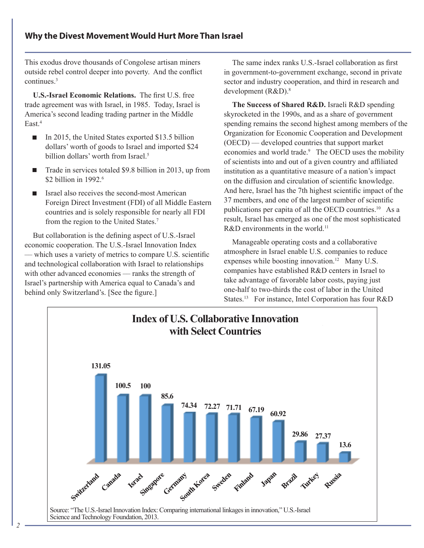This exodus drove thousands of Congolese artisan miners outside rebel control deeper into poverty. And the conflict continues.3

**U.S.-Israel Economic Relations.** The first U.S. free trade agreement was with Israel, in 1985. Today, Israel is America's second leading trading partner in the Middle East<sup>4</sup>

- In 2015, the United States exported \$13.5 billion dollars' worth of goods to Israel and imported \$24 billion dollars' worth from Israel.<sup>5</sup>
- Trade in services totaled \$9.8 billion in 2013, up from \$2 billion in 1992.<sup>6</sup>
- $\blacksquare$  Israel also receives the second-most American Foreign Direct Investment (FDI) of all Middle Eastern countries and is solely responsible for nearly all FDI from the region to the United States.<sup>7</sup>

But collaboration is the defining aspect of U.S.-Israel economic cooperation. The U.S.-Israel Innovation Index — which uses a variety of metrics to compare U.S. scientific and technological collaboration with Israel to relationships with other advanced economies — ranks the strength of Israel's partnership with America equal to Canada's and behind only Switzerland's. [See the figure.]

The same index ranks U.S.-Israel collaboration as first in government-to-government exchange, second in private sector and industry cooperation, and third in research and development (R&D).<sup>8</sup>

**The Success of Shared R&D.** Israeli R&D spending skyrocketed in the 1990s, and as a share of government spending remains the second highest among members of the Organization for Economic Cooperation and Development (OECD) — developed countries that support market economies and world trade.<sup>9</sup> The OECD uses the mobility of scientists into and out of a given country and affiliated institution as a quantitative measure of a nation's impact on the diffusion and circulation of scientific knowledge. And here, Israel has the 7th highest scientific impact of the 37 members, and one of the largest number of scientific publications per capita of all the OECD countries.<sup>10</sup> As a result, Israel has emerged as one of the most sophisticated R&D environments in the world.<sup>11</sup>

Manageable operating costs and a collaborative atmosphere in Israel enable U.S. companies to reduce expenses while boosting innovation.<sup>12</sup> Many U.S. companies have established R&D centers in Israel to take advantage of favorable labor costs, paying just one-half to two-thirds the cost of labor in the United States.<sup>13</sup> For instance, Intel Corporation has four R&D

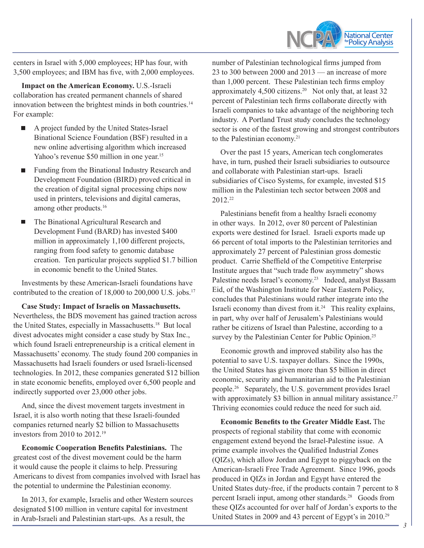

centers in Israel with 5,000 employees; HP has four, with 3,500 employees; and IBM has five, with 2,000 employees.

**Impact on the American Economy.** U.S.-Israeli collaboration has created permanent channels of shared innovation between the brightest minds in both countries.<sup>14</sup> For example:

- A project funded by the United States-Israel Binational Science Foundation (BSF) resulted in a new online advertising algorithm which increased Yahoo's revenue \$50 million in one year.<sup>15</sup>
- Funding from the Binational Industry Research and Development Foundation (BIRD) proved critical in the creation of digital signal processing chips now used in printers, televisions and digital cameras, among other products.<sup>16</sup>
- The Binational Agricultural Research and Development Fund (BARD) has invested \$400 million in approximately 1,100 different projects, ranging from food safety to genomic database creation. Ten particular projects supplied \$1.7 billion in economic benefit to the United States.

Investments by these American-Israeli foundations have contributed to the creation of 18,000 to 200,000 U.S. jobs.<sup>17</sup>

**Case Study: Impact of Israelis on Massachusetts.** Nevertheless, the BDS movement has gained traction across the United States, especially in Massachusetts.18 But local divest advocates might consider a case study by Stax Inc., which found Israeli entrepreneurship is a critical element in Massachusetts' economy. The study found 200 companies in Massachusetts had Israeli founders or used Israeli-licensed technologies. In 2012, these companies generated \$12 billion in state economic benefits, employed over 6,500 people and indirectly supported over 23,000 other jobs.

And, since the divest movement targets investment in Israel, it is also worth noting that these Israeli-founded companies returned nearly \$2 billion to Massachusetts investors from 2010 to 2012.19

**Economic Cooperation Benefits Palestinians.** The greatest cost of the divest movement could be the harm it would cause the people it claims to help. Pressuring Americans to divest from companies involved with Israel has the potential to undermine the Palestinian economy.

In 2013, for example, Israelis and other Western sources designated \$100 million in venture capital for investment in Arab-Israeli and Palestinian start-ups. As a result, the

number of Palestinian technological firms jumped from 23 to 300 between 2000 and 2013 — an increase of more than 1,000 percent. These Palestinian tech firms employ approximately 4,500 citizens.<sup>20</sup> Not only that, at least 32 percent of Palestinian tech firms collaborate directly with Israeli companies to take advantage of the neighboring tech industry. A Portland Trust study concludes the technology sector is one of the fastest growing and strongest contributors to the Palestinian economy.<sup>21</sup>

Over the past 15 years, American tech conglomerates have, in turn, pushed their Israeli subsidiaries to outsource and collaborate with Palestinian start-ups. Israeli subsidiaries of Cisco Systems, for example, invested \$15 million in the Palestinian tech sector between 2008 and 2012.22

Palestinians benefit from a healthy Israeli economy in other ways. In 2012, over 80 percent of Palestinian exports were destined for Israel. Israeli exports made up 66 percent of total imports to the Palestinian territories and approximately 27 percent of Palestinian gross domestic product. Carrie Sheffield of the Competitive Enterprise Institute argues that "such trade flow asymmetry" shows Palestine needs Israel's economy.23 Indeed, analyst Bassam Eid, of the Washington Institute for Near Eastern Policy, concludes that Palestinians would rather integrate into the Israeli economy than divest from it.24 This reality explains, in part, why over half of Jerusalem's Palestinians would rather be citizens of Israel than Palestine, according to a survey by the Palestinian Center for Public Opinion.<sup>25</sup>

Economic growth and improved stability also has the potential to save U.S. taxpayer dollars. Since the 1990s, the United States has given more than \$5 billion in direct economic, security and humanitarian aid to the Palestinian people.26 Separately, the U.S. government provides Israel with approximately \$3 billion in annual military assistance.<sup>27</sup> Thriving economies could reduce the need for such aid.

**Economic Benefits to the Greater Middle East.** The prospects of regional stability that come with economic engagement extend beyond the Israel-Palestine issue. A prime example involves the Qualified Industrial Zones (QIZs), which allow Jordan and Egypt to piggyback on the American-Israeli Free Trade Agreement. Since 1996, goods produced in QIZs in Jordan and Egypt have entered the United States duty-free, if the products contain 7 percent to 8 percent Israeli input, among other standards.<sup>28</sup> Goods from these QIZs accounted for over half of Jordan's exports to the United States in 2009 and 43 percent of Egypt's in 2010.29